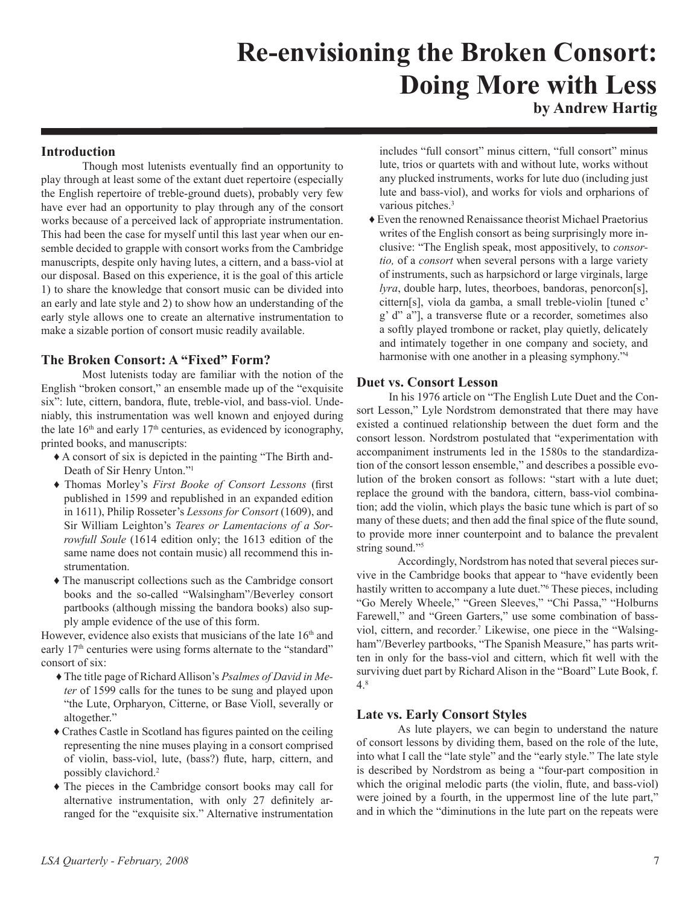# **Re-envisioning the Broken Consort: Doing More with Less by Andrew Hartig**

## **Introduction**

Though most lutenists eventually find an opportunity to play through at least some of the extant duet repertoire (especially the English repertoire of treble-ground duets), probably very few have ever had an opportunity to play through any of the consort works because of a perceived lack of appropriate instrumentation. This had been the case for myself until this last year when our ensemble decided to grapple with consort works from the Cambridge manuscripts, despite only having lutes, a cittern, and a bass-viol at our disposal. Based on this experience, it is the goal of this article 1) to share the knowledge that consort music can be divided into an early and late style and 2) to show how an understanding of the early style allows one to create an alternative instrumentation to make a sizable portion of consort music readily available.

## **The Broken Consort: A "Fixed" Form?**

Most lutenists today are familiar with the notion of the English "broken consort," an ensemble made up of the "exquisite six": lute, cittern, bandora, flute, treble-viol, and bass-viol. Undeniably, this instrumentation was well known and enjoyed during the late  $16<sup>th</sup>$  and early  $17<sup>th</sup>$  centuries, as evidenced by iconography, printed books, and manuscripts:

- ♦ A consort of six is depicted in the painting "The Birth and-Death of Sir Henry Unton."1
- ♦ Thomas Morley's *First Booke of Consort Lessons* (first published in 1599 and republished in an expanded edition in 1611), Philip Rosseter's *Lessons for Consort* (1609), and Sir William Leighton's *Teares or Lamentacions of a Sorrowfull Soule* (1614 edition only; the 1613 edition of the same name does not contain music) all recommend this instrumentation.
- ♦ The manuscript collections such as the Cambridge consort books and the so-called "Walsingham"/Beverley consort partbooks (although missing the bandora books) also supply ample evidence of the use of this form.

However, evidence also exists that musicians of the late 16<sup>th</sup> and early 17<sup>th</sup> centuries were using forms alternate to the "standard" consort of six:

- ♦ The title page of Richard Allison's *Psalmes of David in Meter* of 1599 calls for the tunes to be sung and played upon "the Lute, Orpharyon, Citterne, or Base Violl, severally or altogether."
- ♦ Crathes Castle in Scotland has figures painted on the ceiling representing the nine muses playing in a consort comprised of violin, bass-viol, lute, (bass?) flute, harp, cittern, and possibly clavichord.2
- ♦ The pieces in the Cambridge consort books may call for alternative instrumentation, with only 27 definitely arranged for the "exquisite six." Alternative instrumentation

includes "full consort" minus cittern, "full consort" minus lute, trios or quartets with and without lute, works without any plucked instruments, works for lute duo (including just lute and bass-viol), and works for viols and orpharions of various pitches.<sup>3</sup>

♦ Even the renowned Renaissance theorist Michael Praetorius writes of the English consort as being surprisingly more inclusive: "The English speak, most appositively, to *consortio,* of a *consort* when several persons with a large variety of instruments, such as harpsichord or large virginals, large *lyra*, double harp, lutes, theorboes, bandoras, penorcon[s], cittern[s], viola da gamba, a small treble-violin [tuned c' g' d" a"], a transverse flute or a recorder, sometimes also a softly played trombone or racket, play quietly, delicately and intimately together in one company and society, and harmonise with one another in a pleasing symphony."<sup>4</sup>

### **Duet vs. Consort Lesson**

 In his 1976 article on "The English Lute Duet and the Consort Lesson," Lyle Nordstrom demonstrated that there may have existed a continued relationship between the duet form and the consort lesson. Nordstrom postulated that "experimentation with accompaniment instruments led in the 1580s to the standardization of the consort lesson ensemble," and describes a possible evolution of the broken consort as follows: "start with a lute duet; replace the ground with the bandora, cittern, bass-viol combination; add the violin, which plays the basic tune which is part of so many of these duets; and then add the final spice of the flute sound, to provide more inner counterpoint and to balance the prevalent string sound."5

 Accordingly, Nordstrom has noted that several pieces survive in the Cambridge books that appear to "have evidently been hastily written to accompany a lute duet."<sup>6</sup> These pieces, including "Go Merely Wheele," "Green Sleeves," "Chi Passa," "Holburns Farewell," and "Green Garters," use some combination of bassviol, cittern, and recorder.7 Likewise, one piece in the "Walsingham"/Beverley partbooks, "The Spanish Measure," has parts written in only for the bass-viol and cittern, which fit well with the surviving duet part by Richard Alison in the "Board" Lute Book, f. 4.8

## **Late vs. Early Consort Styles**

As lute players, we can begin to understand the nature of consort lessons by dividing them, based on the role of the lute, into what I call the "late style" and the "early style." The late style is described by Nordstrom as being a "four-part composition in which the original melodic parts (the violin, flute, and bass-viol) were joined by a fourth, in the uppermost line of the lute part," and in which the "diminutions in the lute part on the repeats were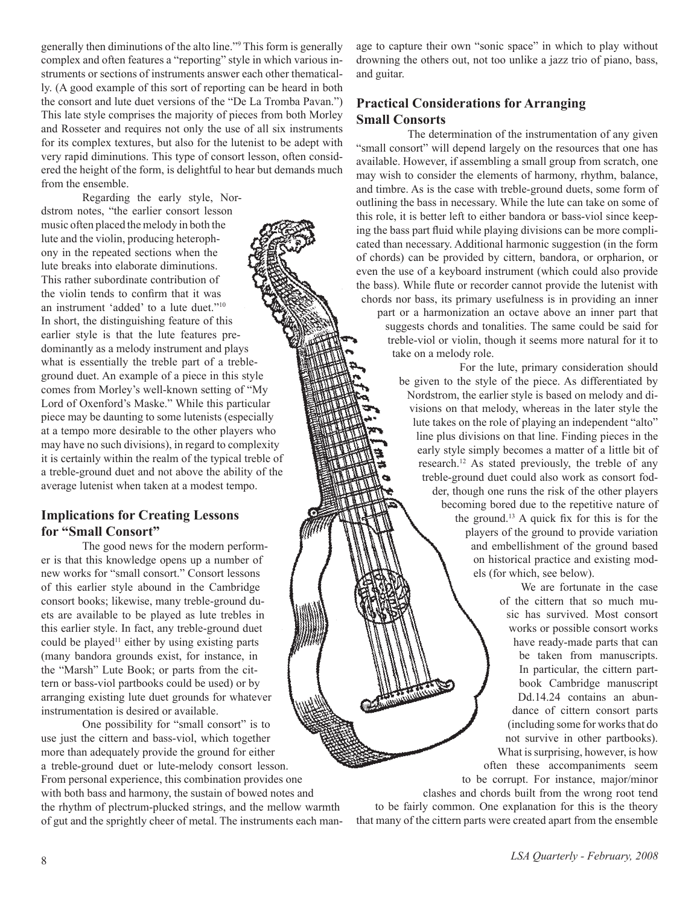generally then diminutions of the alto line."9 This form is generally complex and often features a "reporting" style in which various instruments or sections of instruments answer each other thematically. (A good example of this sort of reporting can be heard in both the consort and lute duet versions of the "De La Tromba Pavan.") This late style comprises the majority of pieces from both Morley and Rosseter and requires not only the use of all six instruments for its complex textures, but also for the lutenist to be adept with very rapid diminutions. This type of consort lesson, often considered the height of the form, is delightful to hear but demands much from the ensemble.

Regarding the early style, Nordstrom notes, "the earlier consort lesson music often placed the melody in both the lute and the violin, producing heterophony in the repeated sections when the lute breaks into elaborate diminutions. This rather subordinate contribution of the violin tends to confirm that it was an instrument 'added' to a lute duet."10 In short, the distinguishing feature of this earlier style is that the lute features predominantly as a melody instrument and plays what is essentially the treble part of a trebleground duet. An example of a piece in this style comes from Morley's well-known setting of "My Lord of Oxenford's Maske." While this particular piece may be daunting to some lutenists (especially at a tempo more desirable to the other players who may have no such divisions), in regard to complexity it is certainly within the realm of the typical treble of a treble-ground duet and not above the ability of the average lutenist when taken at a modest tempo.

## **Implications for Creating Lessons for "Small Consort"**

 The good news for the modern performer is that this knowledge opens up a number of new works for "small consort." Consort lessons of this earlier style abound in the Cambridge consort books; likewise, many treble-ground duets are available to be played as lute trebles in this earlier style. In fact, any treble-ground duet could be played<sup>11</sup> either by using existing parts (many bandora grounds exist, for instance, in the "Marsh" Lute Book; or parts from the cittern or bass-viol partbooks could be used) or by arranging existing lute duet grounds for whatever instrumentation is desired or available.

One possibility for "small consort" is to use just the cittern and bass-viol, which together more than adequately provide the ground for either a treble-ground duet or lute-melody consort lesson. From personal experience, this combination provides one with both bass and harmony, the sustain of bowed notes and the rhythm of plectrum-plucked strings, and the mellow warmth of gut and the sprightly cheer of metal. The instruments each manage to capture their own "sonic space" in which to play without drowning the others out, not too unlike a jazz trio of piano, bass, and guitar.

## **Practical Considerations for Arranging Small Consorts**

 The determination of the instrumentation of any given "small consort" will depend largely on the resources that one has available. However, if assembling a small group from scratch, one may wish to consider the elements of harmony, rhythm, balance, and timbre. As is the case with treble-ground duets, some form of outlining the bass in necessary. While the lute can take on some of this role, it is better left to either bandora or bass-viol since keeping the bass part fluid while playing divisions can be more complicated than necessary. Additional harmonic suggestion (in the form of chords) can be provided by cittern, bandora, or orpharion, or even the use of a keyboard instrument (which could also provide the bass). While flute or recorder cannot provide the lutenist with chords nor bass, its primary usefulness is in providing an inner part or a harmonization an octave above an inner part that suggests chords and tonalities. The same could be said for treble-viol or violin, though it seems more natural for it to take on a melody role.

 For the lute, primary consideration should be given to the style of the piece. As differentiated by Nordstrom, the earlier style is based on melody and divisions on that melody, whereas in the later style the lute takes on the role of playing an independent "alto" line plus divisions on that line. Finding pieces in the early style simply becomes a matter of a little bit of research.12 As stated previously, the treble of any treble-ground duet could also work as consort fodder, though one runs the risk of the other players becoming bored due to the repetitive nature of the ground.13 A quick fix for this is for the players of the ground to provide variation and embellishment of the ground based on historical practice and existing models (for which, see below).

> We are fortunate in the case of the cittern that so much music has survived. Most consort works or possible consort works have ready-made parts that can be taken from manuscripts. In particular, the cittern partbook Cambridge manuscript Dd.14.24 contains an abundance of cittern consort parts (including some for works that do not survive in other partbooks). What is surprising, however, is how often these accompaniments seem to be corrupt. For instance, major/minor

clashes and chords built from the wrong root tend to be fairly common. One explanation for this is the theory

that many of the cittern parts were created apart from the ensemble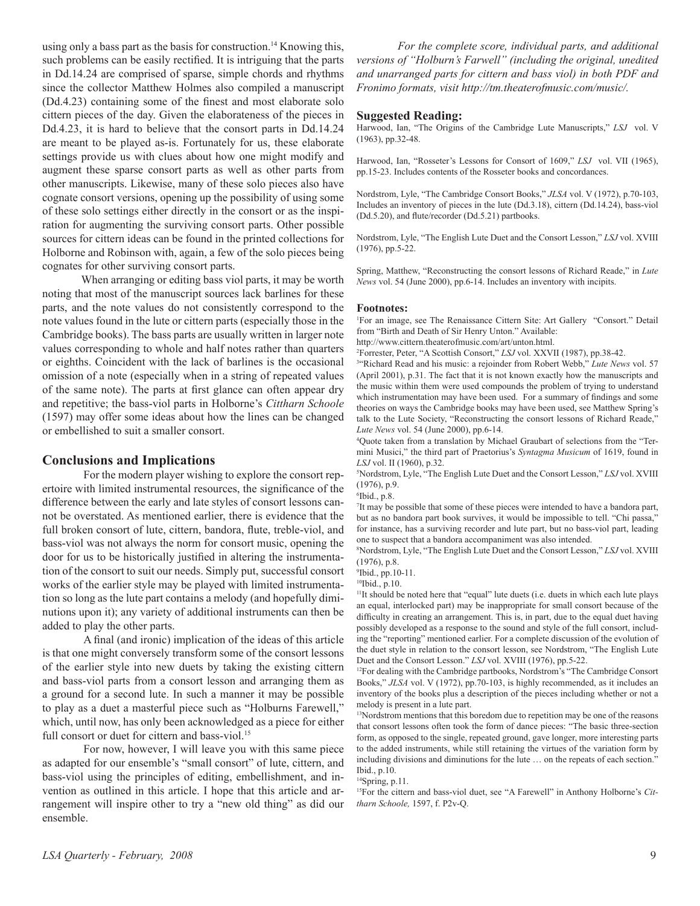using only a bass part as the basis for construction.<sup>14</sup> Knowing this, such problems can be easily rectified. It is intriguing that the parts in Dd.14.24 are comprised of sparse, simple chords and rhythms since the collector Matthew Holmes also compiled a manuscript (Dd.4.23) containing some of the finest and most elaborate solo cittern pieces of the day. Given the elaborateness of the pieces in Dd.4.23, it is hard to believe that the consort parts in Dd.14.24 are meant to be played as-is. Fortunately for us, these elaborate settings provide us with clues about how one might modify and augment these sparse consort parts as well as other parts from other manuscripts. Likewise, many of these solo pieces also have cognate consort versions, opening up the possibility of using some of these solo settings either directly in the consort or as the inspiration for augmenting the surviving consort parts. Other possible sources for cittern ideas can be found in the printed collections for Holborne and Robinson with, again, a few of the solo pieces being cognates for other surviving consort parts.

 When arranging or editing bass viol parts, it may be worth noting that most of the manuscript sources lack barlines for these parts, and the note values do not consistently correspond to the note values found in the lute or cittern parts (especially those in the Cambridge books). The bass parts are usually written in larger note values corresponding to whole and half notes rather than quarters or eighths. Coincident with the lack of barlines is the occasional omission of a note (especially when in a string of repeated values of the same note). The parts at first glance can often appear dry and repetitive; the bass-viol parts in Holborne's *Cittharn Schoole*  (1597) may offer some ideas about how the lines can be changed or embellished to suit a smaller consort.

## **Conclusions and Implications**

For the modern player wishing to explore the consort repertoire with limited instrumental resources, the significance of the difference between the early and late styles of consort lessons cannot be overstated. As mentioned earlier, there is evidence that the full broken consort of lute, cittern, bandora, flute, treble-viol, and bass-viol was not always the norm for consort music, opening the door for us to be historically justified in altering the instrumentation of the consort to suit our needs. Simply put, successful consort works of the earlier style may be played with limited instrumentation so long as the lute part contains a melody (and hopefully diminutions upon it); any variety of additional instruments can then be added to play the other parts.

A final (and ironic) implication of the ideas of this article is that one might conversely transform some of the consort lessons of the earlier style into new duets by taking the existing cittern and bass-viol parts from a consort lesson and arranging them as a ground for a second lute. In such a manner it may be possible to play as a duet a masterful piece such as "Holburns Farewell," which, until now, has only been acknowledged as a piece for either full consort or duet for cittern and bass-viol.<sup>15</sup>

For now, however, I will leave you with this same piece as adapted for our ensemble's "small consort" of lute, cittern, and bass-viol using the principles of editing, embellishment, and invention as outlined in this article. I hope that this article and arrangement will inspire other to try a "new old thing" as did our ensemble.

*For the complete score, individual parts, and additional versions of "Holburn's Farwell" (including the original, unedited and unarranged parts for cittern and bass viol) in both PDF and Fronimo formats, visit http://tm.theaterofmusic.com/music/.* 

#### **Suggested Reading:**

Harwood, Ian, "The Origins of the Cambridge Lute Manuscripts," *LSJ* vol. V (1963), pp.32-48.

Harwood, Ian, "Rosseter's Lessons for Consort of 1609," *LSJ* vol. VII (1965), pp.15-23. Includes contents of the Rosseter books and concordances.

Nordstrom, Lyle, "The Cambridge Consort Books," *JLSA* vol. V (1972), p.70-103, Includes an inventory of pieces in the lute (Dd.3.18), cittern (Dd.14.24), bass-viol (Dd.5.20), and flute/recorder (Dd.5.21) partbooks.

Nordstrom, Lyle, "The English Lute Duet and the Consort Lesson," *LSJ* vol. XVIII (1976), pp.5-22.

Spring, Matthew, "Reconstructing the consort lessons of Richard Reade," in *Lute News* vol. 54 (June 2000), pp.6-14. Includes an inventory with incipits.

#### **Footnotes:**

1 For an image, see The Renaissance Cittern Site: Art Gallery "Consort." Detail from "Birth and Death of Sir Henry Unton." Available:

http://www.cittern.theaterofmusic.com/art/unton.html.

2 Forrester, Peter, "A Scottish Consort," *LSJ* vol. XXVII (1987), pp.38-42.

<sup>3</sup><sup>c</sup>Richard Read and his music: a rejoinder from Robert Webb," *Lute News* vol. 57 (April 2001), p.31. The fact that it is not known exactly how the manuscripts and the music within them were used compounds the problem of trying to understand which instrumentation may have been used. For a summary of findings and some theories on ways the Cambridge books may have been used, see Matthew Spring's talk to the Lute Society, "Reconstructing the consort lessons of Richard Reade," *Lute News* vol. 54 (June 2000), pp.6-14.

4 Quote taken from a translation by Michael Graubart of selections from the "Termini Musici," the third part of Praetorius's *Syntagma Musicum* of 1619, found in *LSJ* vol. II (1960), p.32.

5 Nordstrom, Lyle, "The English Lute Duet and the Consort Lesson," *LSJ* vol. XVIII (1976), p.9.

6 Ibid., p.8.

7 It may be possible that some of these pieces were intended to have a bandora part, but as no bandora part book survives, it would be impossible to tell. "Chi passa," for instance, has a surviving recorder and lute part, but no bass-viol part, leading one to suspect that a bandora accompaniment was also intended.

8 Nordstrom, Lyle, "The English Lute Duet and the Consort Lesson," *LSJ* vol. XVIII (1976), p.8.

9 Ibid., pp.10-11.

10Ibid., p.10.

11It should be noted here that "equal" lute duets (i.e. duets in which each lute plays an equal, interlocked part) may be inappropriate for small consort because of the difficulty in creating an arrangement. This is, in part, due to the equal duet having possibly developed as a response to the sound and style of the full consort, including the "reporting" mentioned earlier. For a complete discussion of the evolution of the duet style in relation to the consort lesson, see Nordstrom, "The English Lute Duet and the Consort Lesson." *LSJ* vol. XVIII (1976), pp.5-22.

<sup>12</sup>For dealing with the Cambridge partbooks, Nordstrom's "The Cambridge Consort Books," *JLSA* vol. V (1972), pp.70-103, is highly recommended, as it includes an inventory of the books plus a description of the pieces including whether or not a melody is present in a lute part.

<sup>13</sup>Nordstrom mentions that this boredom due to repetition may be one of the reasons that consort lessons often took the form of dance pieces: "The basic three-section form, as opposed to the single, repeated ground, gave longer, more interesting parts to the added instruments, while still retaining the virtues of the variation form by including divisions and diminutions for the lute … on the repeats of each section." Ibid., p.10.

 $14$ Spring, p.11.

<sup>15</sup>For the cittern and bass-viol duet, see "A Farewell" in Anthony Holborne's *Cittharn Schoole,* 1597, f. P2v-Q.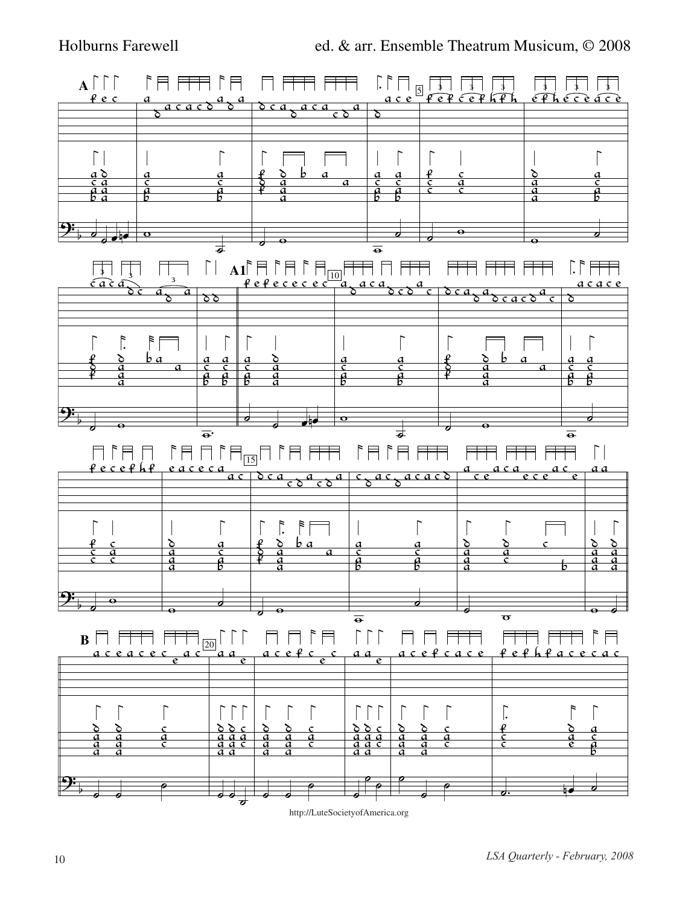Holburns Farewell ed. & arr. Ensemble Theatrum Musicum, © 2008



http://LuteSocietyofAmerica.org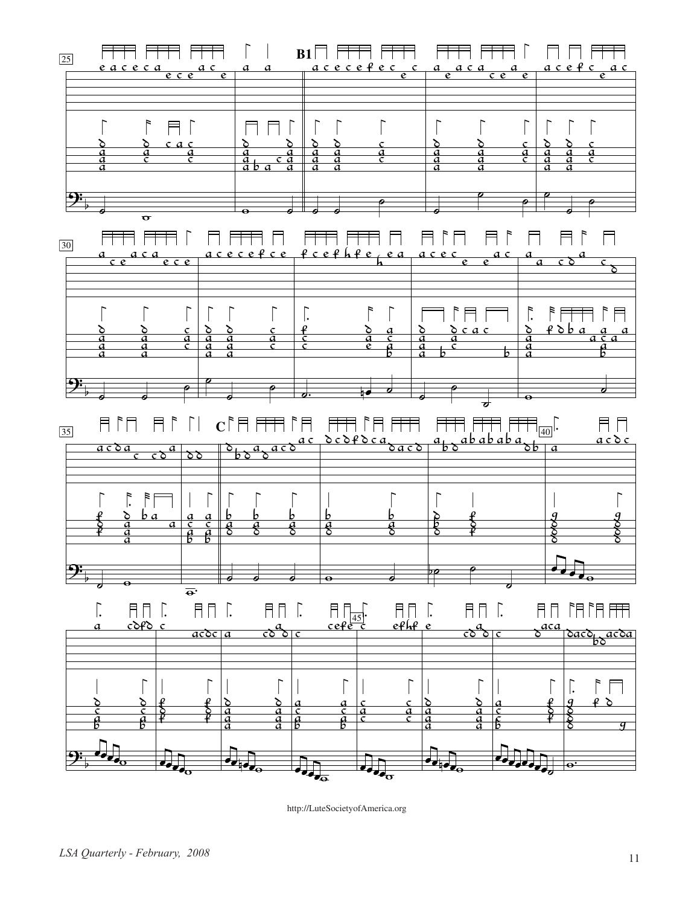

http://LuteSocietyofAmerica.org